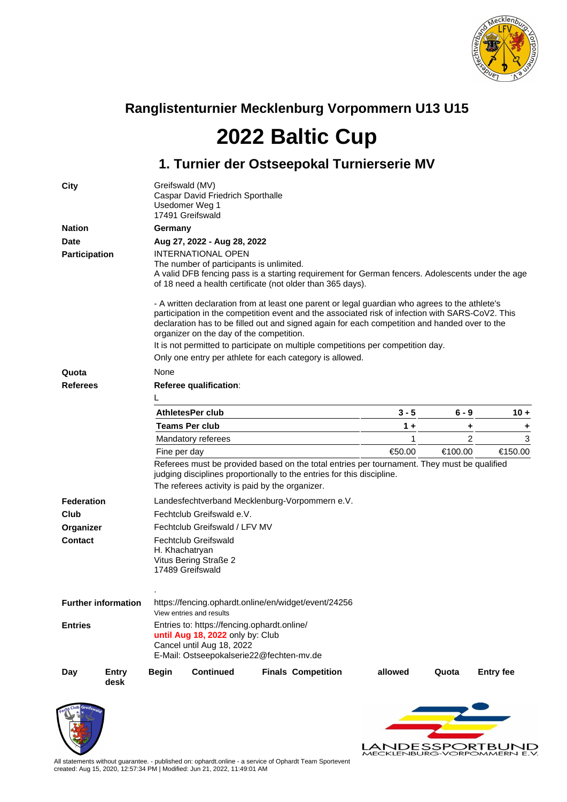

## **Ranglistenturnier Mecklenburg Vorpommern U13 U15**

**2022 Baltic Cup**

## **1. Turnier der Ostseepokal Turnierserie MV**

| City              |                            | Greifswald (MV)<br>Caspar David Friedrich Sporthalle<br>Usedomer Weg 1<br>17491 Greifswald                                                                                                                                                                                                                                                      |                                                                                                                                                          |  |                           |                                                                                             |         |                  |  |  |  |  |
|-------------------|----------------------------|-------------------------------------------------------------------------------------------------------------------------------------------------------------------------------------------------------------------------------------------------------------------------------------------------------------------------------------------------|----------------------------------------------------------------------------------------------------------------------------------------------------------|--|---------------------------|---------------------------------------------------------------------------------------------|---------|------------------|--|--|--|--|
| <b>Nation</b>     |                            | Germany                                                                                                                                                                                                                                                                                                                                         |                                                                                                                                                          |  |                           |                                                                                             |         |                  |  |  |  |  |
| <b>Date</b>       |                            |                                                                                                                                                                                                                                                                                                                                                 | Aug 27, 2022 - Aug 28, 2022                                                                                                                              |  |                           |                                                                                             |         |                  |  |  |  |  |
| Participation     |                            | INTERNATIONAL OPEN<br>The number of participants is unlimited.<br>A valid DFB fencing pass is a starting requirement for German fencers. Adolescents under the age<br>of 18 need a health certificate (not older than 365 days).                                                                                                                |                                                                                                                                                          |  |                           |                                                                                             |         |                  |  |  |  |  |
|                   |                            | - A written declaration from at least one parent or legal guardian who agrees to the athlete's<br>participation in the competition event and the associated risk of infection with SARS-CoV2. This<br>declaration has to be filled out and signed again for each competition and handed over to the<br>organizer on the day of the competition. |                                                                                                                                                          |  |                           |                                                                                             |         |                  |  |  |  |  |
|                   |                            | It is not permitted to participate on multiple competitions per competition day.<br>Only one entry per athlete for each category is allowed.                                                                                                                                                                                                    |                                                                                                                                                          |  |                           |                                                                                             |         |                  |  |  |  |  |
| Quota             |                            | None                                                                                                                                                                                                                                                                                                                                            |                                                                                                                                                          |  |                           |                                                                                             |         |                  |  |  |  |  |
| <b>Referees</b>   |                            | Referee qualification:                                                                                                                                                                                                                                                                                                                          |                                                                                                                                                          |  |                           |                                                                                             |         |                  |  |  |  |  |
|                   |                            |                                                                                                                                                                                                                                                                                                                                                 |                                                                                                                                                          |  |                           |                                                                                             |         |                  |  |  |  |  |
|                   |                            |                                                                                                                                                                                                                                                                                                                                                 | <b>AthletesPer club</b>                                                                                                                                  |  |                           | $3 - 5$                                                                                     | 6 - 9   | $10 +$           |  |  |  |  |
|                   |                            |                                                                                                                                                                                                                                                                                                                                                 | <b>Teams Per club</b>                                                                                                                                    |  |                           | $1 +$                                                                                       | ٠       | ٠                |  |  |  |  |
|                   |                            |                                                                                                                                                                                                                                                                                                                                                 | Mandatory referees                                                                                                                                       |  |                           | 1                                                                                           | 2       | 3                |  |  |  |  |
|                   |                            | Fine per day                                                                                                                                                                                                                                                                                                                                    |                                                                                                                                                          |  |                           | €50.00                                                                                      | €100.00 | €150.00          |  |  |  |  |
|                   |                            |                                                                                                                                                                                                                                                                                                                                                 | judging disciplines proportionally to the entries for this discipline.                                                                                   |  |                           | Referees must be provided based on the total entries per tournament. They must be qualified |         |                  |  |  |  |  |
|                   |                            |                                                                                                                                                                                                                                                                                                                                                 | The referees activity is paid by the organizer.                                                                                                          |  |                           |                                                                                             |         |                  |  |  |  |  |
| <b>Federation</b> |                            |                                                                                                                                                                                                                                                                                                                                                 | Landesfechtverband Mecklenburg-Vorpommern e.V.                                                                                                           |  |                           |                                                                                             |         |                  |  |  |  |  |
| Club              |                            |                                                                                                                                                                                                                                                                                                                                                 | Fechtclub Greifswald e.V.                                                                                                                                |  |                           |                                                                                             |         |                  |  |  |  |  |
| Organizer         |                            |                                                                                                                                                                                                                                                                                                                                                 | Fechtclub Greifswald / LFV MV                                                                                                                            |  |                           |                                                                                             |         |                  |  |  |  |  |
| <b>Contact</b>    |                            |                                                                                                                                                                                                                                                                                                                                                 | <b>Fechtclub Greifswald</b><br>H. Khachatryan<br>Vitus Bering Straße 2<br>17489 Greifswald                                                               |  |                           |                                                                                             |         |                  |  |  |  |  |
|                   | <b>Further information</b> |                                                                                                                                                                                                                                                                                                                                                 | https://fencing.ophardt.online/en/widget/event/24256<br>View entries and results                                                                         |  |                           |                                                                                             |         |                  |  |  |  |  |
| <b>Entries</b>    |                            |                                                                                                                                                                                                                                                                                                                                                 | Entries to: https://fencing.ophardt.online/<br>until Aug 18, 2022 only by: Club<br>Cancel until Aug 18, 2022<br>E-Mail: Ostseepokalserie22@fechten-mv.de |  |                           |                                                                                             |         |                  |  |  |  |  |
| Day               | Entry<br>desk              | Begin                                                                                                                                                                                                                                                                                                                                           | <b>Continued</b>                                                                                                                                         |  | <b>Finals Competition</b> | allowed                                                                                     | Quota   | <b>Entry fee</b> |  |  |  |  |



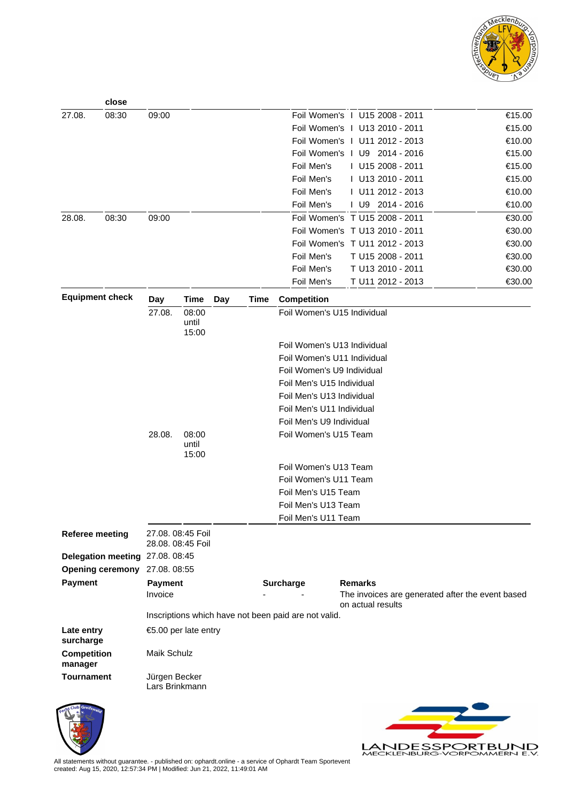

LANDESSPORTBUND

|                               | close                           |                                 |                                        |     |                           |                                                      |  |                |                                                  |  |        |
|-------------------------------|---------------------------------|---------------------------------|----------------------------------------|-----|---------------------------|------------------------------------------------------|--|----------------|--------------------------------------------------|--|--------|
| 27.08.                        | 08:30                           | 09:00                           |                                        |     |                           |                                                      |  |                | Foil Women's   U15 2008 - 2011                   |  | €15.00 |
|                               |                                 |                                 |                                        |     |                           |                                                      |  |                | Foil Women's   U13 2010 - 2011                   |  | €15.00 |
|                               |                                 |                                 |                                        |     |                           |                                                      |  |                | Foil Women's 1 U11 2012 - 2013                   |  | €10.00 |
|                               |                                 |                                 |                                        |     |                           |                                                      |  |                | Foil Women's 1 U9 2014 - 2016                    |  | €15.00 |
|                               |                                 |                                 |                                        |     |                           | Foil Men's                                           |  |                | I U15 2008 - 2011                                |  | €15.00 |
|                               |                                 |                                 |                                        |     |                           | Foil Men's                                           |  |                | I U13 2010 - 2011                                |  | €15.00 |
|                               |                                 |                                 |                                        |     |                           | Foil Men's                                           |  |                | I U11 2012 - 2013                                |  | €10.00 |
|                               |                                 |                                 |                                        |     |                           | Foil Men's                                           |  |                | I U9 2014 - 2016                                 |  | €10.00 |
| 28.08.                        | 08:30                           | 09:00                           |                                        |     |                           |                                                      |  |                | Foil Women's T U15 2008 - 2011                   |  | €30.00 |
|                               |                                 |                                 |                                        |     |                           |                                                      |  |                | Foil Women's T U13 2010 - 2011                   |  | €30.00 |
|                               |                                 |                                 |                                        |     |                           |                                                      |  |                | Foil Women's T U11 2012 - 2013                   |  | €30.00 |
|                               |                                 |                                 |                                        |     |                           | Foil Men's                                           |  |                | T U15 2008 - 2011                                |  | €30.00 |
|                               |                                 |                                 |                                        |     |                           | Foil Men's                                           |  |                | T U13 2010 - 2011                                |  | €30.00 |
|                               |                                 |                                 |                                        |     |                           | Foil Men's                                           |  |                | T U11 2012 - 2013                                |  | €30.00 |
| <b>Equipment check</b>        |                                 | <b>Day</b><br>27.08.            | <b>Time</b><br>08:00                   | Day | <b>Time</b>               | <b>Competition</b><br>Foil Women's U15 Individual    |  |                |                                                  |  |        |
|                               |                                 |                                 | until<br>15:00                         |     |                           |                                                      |  |                |                                                  |  |        |
|                               |                                 |                                 |                                        |     |                           | Foil Women's U13 Individual                          |  |                |                                                  |  |        |
|                               |                                 |                                 |                                        |     |                           | Foil Women's U11 Individual                          |  |                |                                                  |  |        |
|                               |                                 |                                 |                                        |     |                           | Foil Women's U9 Individual                           |  |                |                                                  |  |        |
|                               |                                 |                                 |                                        |     |                           | Foil Men's U15 Individual                            |  |                |                                                  |  |        |
|                               |                                 |                                 |                                        |     | Foil Men's U13 Individual |                                                      |  |                |                                                  |  |        |
|                               |                                 |                                 |                                        |     |                           | Foil Men's U11 Individual                            |  |                |                                                  |  |        |
|                               |                                 |                                 |                                        |     |                           | Foil Men's U9 Individual                             |  |                |                                                  |  |        |
|                               |                                 | 28.08.                          | 08:00                                  |     |                           | Foil Women's U15 Team                                |  |                |                                                  |  |        |
|                               |                                 |                                 | until<br>15:00                         |     |                           |                                                      |  |                |                                                  |  |        |
|                               |                                 |                                 |                                        |     |                           | Foil Women's U13 Team                                |  |                |                                                  |  |        |
|                               |                                 |                                 |                                        |     |                           | Foil Women's U11 Team                                |  |                |                                                  |  |        |
|                               |                                 |                                 |                                        |     | Foil Men's U15 Team       |                                                      |  |                |                                                  |  |        |
|                               |                                 |                                 |                                        |     | Foil Men's U13 Team       |                                                      |  |                |                                                  |  |        |
|                               |                                 |                                 |                                        |     |                           | Foil Men's U11 Team                                  |  |                |                                                  |  |        |
| <b>Referee meeting</b>        |                                 |                                 | 27.08. 08:45 Foil<br>28.08. 08:45 Foil |     |                           |                                                      |  |                |                                                  |  |        |
|                               | Delegation meeting 27.08. 08:45 |                                 |                                        |     |                           |                                                      |  |                |                                                  |  |        |
| <b>Opening ceremony</b>       |                                 | 27.08.08:55                     |                                        |     |                           |                                                      |  |                |                                                  |  |        |
| <b>Payment</b>                |                                 | <b>Payment</b>                  |                                        |     |                           | <b>Surcharge</b>                                     |  | <b>Remarks</b> |                                                  |  |        |
|                               |                                 | Invoice                         |                                        |     |                           |                                                      |  |                | The invoices are generated after the event based |  |        |
|                               |                                 |                                 |                                        |     |                           | Inscriptions which have not been paid are not valid. |  |                | on actual results                                |  |        |
| Late entry<br>surcharge       |                                 |                                 | €5.00 per late entry                   |     |                           |                                                      |  |                |                                                  |  |        |
| <b>Competition</b><br>manager |                                 | Maik Schulz                     |                                        |     |                           |                                                      |  |                |                                                  |  |        |
| <b>Tournament</b>             |                                 | Jürgen Becker<br>Lars Brinkmann |                                        |     |                           |                                                      |  |                |                                                  |  |        |
|                               |                                 |                                 |                                        |     |                           |                                                      |  |                |                                                  |  |        |



All statements without guarantee. - published on: ophardt.online - a service of Ophardt Team Sportevent created: Aug 15, 2020, 12:57:34 PM | Modified: Jun 21, 2022, 11:49:01 AM